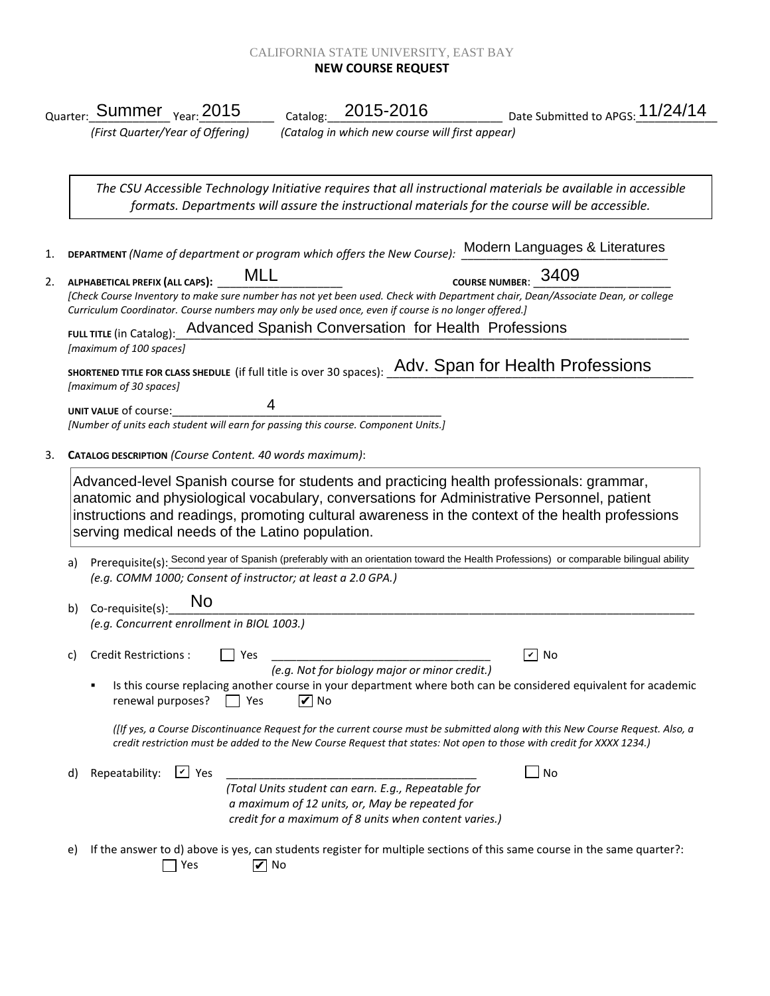## CALIFORNIA STATE UNIVERSITY, EAST BAY **NEW COURSE REQUEST**

|    | Catalog: 2015-2016<br>Date Submitted to APGS: 11/24/14<br><sub>Quarter:</sub> Summer <sub>Year:</sub> 2015                                                                                                                                                                                                                                    |
|----|-----------------------------------------------------------------------------------------------------------------------------------------------------------------------------------------------------------------------------------------------------------------------------------------------------------------------------------------------|
|    | (First Quarter/Year of Offering)<br>(Catalog in which new course will first appear)                                                                                                                                                                                                                                                           |
|    |                                                                                                                                                                                                                                                                                                                                               |
|    | The CSU Accessible Technology Initiative requires that all instructional materials be available in accessible<br>formats. Departments will assure the instructional materials for the course will be accessible.                                                                                                                              |
| 1. | DEPARTMENT (Name of department or program which offers the New Course): Modern Languages & Literatures                                                                                                                                                                                                                                        |
| 2. | COURSE NUMBER: 3409<br>MLL<br>ALPHABETICAL PREFIX (ALL CAPS):<br>[Check Course Inventory to make sure number has not yet been used. Check with Department chair, Dean/Associate Dean, or college<br>Curriculum Coordinator. Course numbers may only be used once, even if course is no longer offered.]                                       |
|    | FULL TITLE (in Catalog): Advanced Spanish Conversation for Health Professions                                                                                                                                                                                                                                                                 |
|    | [maximum of 100 spaces]<br>SHORTENED TITLE FOR CLASS SHEDULE (if full title is over 30 spaces): Adv. Span for Health Professions                                                                                                                                                                                                              |
|    | [maximum of 30 spaces]                                                                                                                                                                                                                                                                                                                        |
|    | UNIT VALUE of course:<br>[Number of units each student will earn for passing this course. Component Units.]                                                                                                                                                                                                                                   |
|    | CATALOG DESCRIPTION (Course Content. 40 words maximum):                                                                                                                                                                                                                                                                                       |
|    | Advanced-level Spanish course for students and practicing health professionals: grammar,<br>anatomic and physiological vocabulary, conversations for Administrative Personnel, patient<br>instructions and readings, promoting cultural awareness in the context of the health professions<br>serving medical needs of the Latino population. |
| a) | Prerequisite(s): Second year of Spanish (preferably with an orientation toward the Health Professions) or comparable bilingual ability                                                                                                                                                                                                        |
|    |                                                                                                                                                                                                                                                                                                                                               |
|    | (e.g. COMM 1000; Consent of instructor; at least a 2.0 GPA.)                                                                                                                                                                                                                                                                                  |
| b) | No<br>Co-requisite(s):                                                                                                                                                                                                                                                                                                                        |
|    | (e.g. Concurrent enrollment in BIOL 1003.)                                                                                                                                                                                                                                                                                                    |
|    | $\sqrt{2}$ No<br>c) Credit Restrictions : $\Box$ Yes<br>(e.g. Not for biology major or minor credit.)                                                                                                                                                                                                                                         |
|    | Is this course replacing another course in your department where both can be considered equivalent for academic<br>$\blacksquare$<br>renewal purposes?<br>$\triangledown$ No<br>Yes<br>$\Box$                                                                                                                                                 |
|    | (IIf yes, a Course Discontinuance Request for the current course must be submitted along with this New Course Request. Also, a<br>credit restriction must be added to the New Course Request that states: Not open to those with credit for XXXX 1234.)                                                                                       |
| d) | $V$ Yes<br>$\sqrt{N}$<br>Repeatability:                                                                                                                                                                                                                                                                                                       |
|    | (Total Units student can earn. E.g., Repeatable for                                                                                                                                                                                                                                                                                           |
|    | a maximum of 12 units, or, May be repeated for<br>credit for a maximum of 8 units when content varies.)                                                                                                                                                                                                                                       |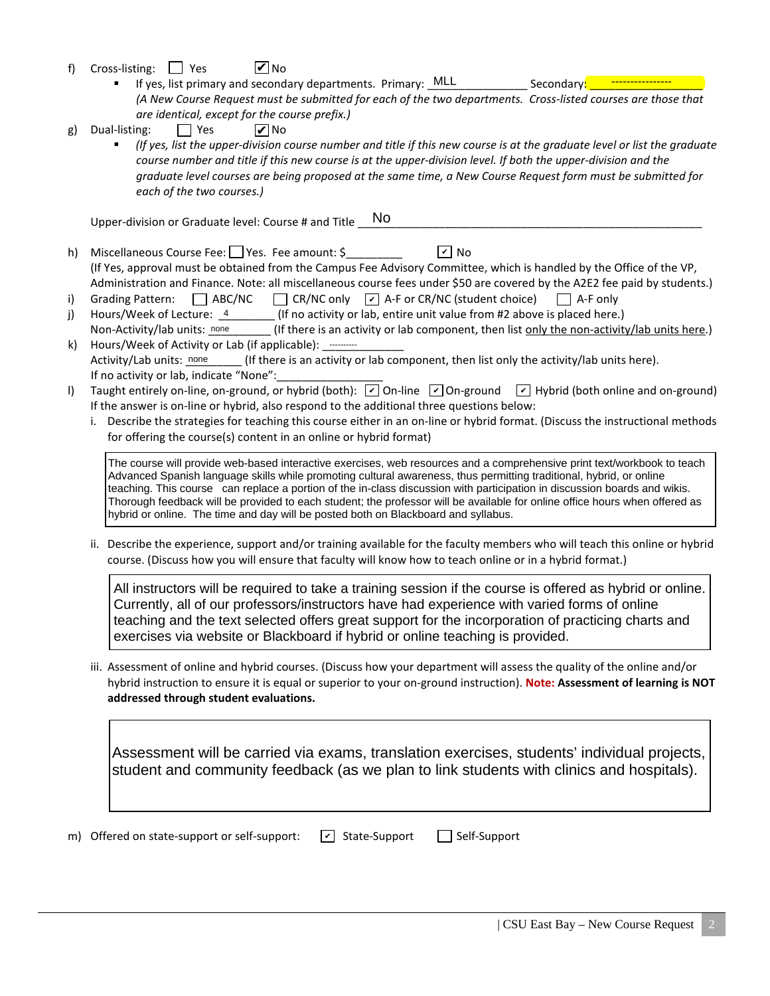- f) Cross-listing:  $\Box$  Yes **V** No
	- If yes, list primary and secondary departments. Primary: \_MLL *(A New Course Request must be submitted for each of the two departments. Cross-listed courses are those that are identical, except for the course prefix.)* Secondary:
- g) Dual-listing:  $\Box$  Yes **V** No
	- *(If yes, list the upper-division course number and title if this new course is at the graduate level or list the graduate course number and title if this new course is at the upper-division level. If both the upper-division and the graduate level courses are being proposed at the same time, a New Course Request form must be submitted for each of the two courses.)*

Upper-division or Graduate level: Course # and Title No

- h) Miscellaneous Course Fee: Yes. Fee amount: \$ (If Yes, approval must be obtained from the Campus Fee Advisory Committee, which is handled by the Office of the VP, Administration and Finance. Note: all miscellaneous course fees under \$50 are covered by the A2E2 fee paid by students.)  $\boxed{v}$  No
- i) Grading Pattern:  $\Box$  ABC/NC  $\Box$  CR/NC only  $\Box$  A-F or CR/NC (student choice)  $\Box$  A-F only
- j) Hours/Week of Lecture:  $\frac{4}{100}$  (If no activity or lab, entire unit value from #2 above is placed here.)
- Non-Activity/lab units: none \_\_\_\_\_\_\_ (If there is an activity or lab component, then list <u>only the non-activity/lab units here</u>.)<br>Hours/Week of Activity or Lab (if applicable): ………… k) Hours/Week of Activity or Lab (if applicable): --------- $\Box$  (If there is an activity or lab component, then list only the activity/lab units here). If no activity or lab, indicate "None": Activity/Lab units: none
- I) Taught entirely on-line, on-ground, or hybrid (both):  $\boxed{\check{\phantom{a}}}$  On-line  $\boxed{\check{\phantom{a}}}$  On-ground  $\boxed{\check{\phantom{a}}}$  Hybrid (both online and on-ground) If the answer is on-line or hybrid, also respond to the additional three questions below:
	- i. Describe the strategies for teaching this course either in an on-line or hybrid format. (Discuss the instructional methods for offering the course(s) content in an online or hybrid format)

The course will provide web-based interactive exercises, web resources and a comprehensive print text/workbook to teach Advanced Spanish language skills while promoting cultural awareness, thus permitting traditional, hybrid, or online teaching. This course can replace a portion of the in-class discussion with participation in discussion boards and wikis. Thorough feedback will be provided to each student; the professor will be available for online office hours when offered as hybrid or online. The time and day will be posted both on Blackboard and syllabus.

ii. Describe the experience, support and/or training available for the faculty members who will teach this online or hybrid course. (Discuss how you will ensure that faculty will know how to teach online or in a hybrid format.)

All instructors will be required to take a training session if the course is offered as hybrid or online. Currently, all of our professors/instructors have had experience with varied forms of online teaching and the text selected offers great support for the incorporation of practicing charts and exercises via website or Blackboard if hybrid or online teaching is provided.

iii. Assessment of online and hybrid courses. (Discuss how your department will assess the quality of the online and/or hybrid instruction to ensure it is equal or superior to your on-ground instruction). **Note: Assessment of learning is NOT addressed through student evaluations.**

Assessment will be carried via exams, translation exercises, students' individual projects, student and community feedback (as we plan to link students with clinics and hospitals).

m) Offered on state-support or self-support:  $\boxed{\triangleright}$  State-Support  $\boxed{\phantom{\cdot}}$  Self-Support  $\boxed{\mathbf{v}}$  State-Support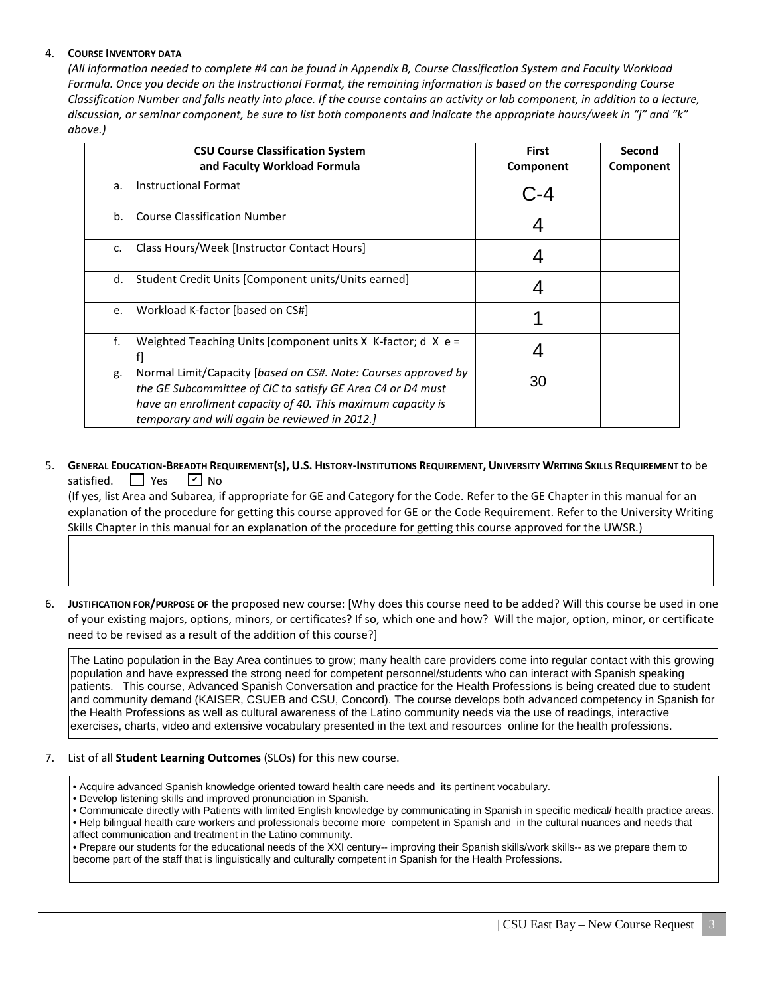## 4. **COURSE INVENTORY DATA**

*(All information needed to complete #4 can be found in Appendix B, Course Classification System and Faculty Workload Formula. Once you decide on the Instructional Format, the remaining information is based on the corresponding Course Classification Number and falls neatly into place. If the course contains an activity or lab component, in addition to a lecture, discussion, or seminar component, be sure to list both components and indicate the appropriate hours/week in "j" and "k" above.)*

|    | <b>CSU Course Classification System</b><br>and Faculty Workload Formula                                                                                                                                                                        | <b>First</b><br>Component | Second<br>Component |
|----|------------------------------------------------------------------------------------------------------------------------------------------------------------------------------------------------------------------------------------------------|---------------------------|---------------------|
| a. | <b>Instructional Format</b>                                                                                                                                                                                                                    |                           |                     |
| b. | <b>Course Classification Number</b>                                                                                                                                                                                                            |                           |                     |
| c. | Class Hours/Week [Instructor Contact Hours]                                                                                                                                                                                                    |                           |                     |
| d. | Student Credit Units [Component units/Units earned]                                                                                                                                                                                            |                           |                     |
| e. | Workload K-factor [based on CS#]                                                                                                                                                                                                               |                           |                     |
| f. | Weighted Teaching Units [component units $X$ K-factor; d $X$ e =                                                                                                                                                                               |                           |                     |
| g. | Normal Limit/Capacity [based on CS#. Note: Courses approved by<br>the GE Subcommittee of CIC to satisfy GE Area C4 or D4 must<br>have an enrollment capacity of 40. This maximum capacity is<br>temporary and will again be reviewed in 2012.] | 30                        |                     |

#### 5. **GENERAL EDUCATION-BREADTH REQUIREMENT(S), U.S. HISTORY-INSTITUTIONS REQUIREMENT, UNIVERSITY WRITING SKILLS REQUIREMENT** to be satisfied.  $\Box$  Yes  $\sqrt{V}$  No

 (If yes, list Area and Subarea, if appropriate for GE and Category for the Code. Refer to the GE Chapter in this manual for an explanation of the procedure for getting this course approved for GE or the Code Requirement. Refer to the University Writing Skills Chapter in this manual for an explanation of the procedure for getting this course approved for the UWSR.)

6. **JUSTIFICATION FOR/PURPOSE OF** the proposed new course: [Why does this course need to be added? Will this course be used in one of your existing majors, options, minors, or certificates? If so, which one and how? Will the major, option, minor, or certificate need to be revised as a result of the addition of this course?]

The Latino population in the Bay Area continues to grow; many health care providers come into regular contact with this growing population and have expressed the strong need for competent personnel/students who can interact with Spanish speaking patients. This course, Advanced Spanish Conversation and practice for the Health Professions is being created due to student and community demand (KAISER, CSUEB and CSU, Concord). The course develops both advanced competency in Spanish for the Health Professions as well as cultural awareness of the Latino community needs via the use of readings, interactive exercises, charts, video and extensive vocabulary presented in the text and resources online for the health professions.

## 7. List of all **Student Learning Outcomes** (SLOs) for this new course.

- Acquire advanced Spanish knowledge oriented toward health care needs and its pertinent vocabulary.
- Develop listening skills and improved pronunciation in Spanish.
- Communicate directly with Patients with limited English knowledge by communicating in Spanish in specific medical/ health practice areas.
- Help bilingual health care workers and professionals become more competent in Spanish and in the cultural nuances and needs that affect communication and treatment in the Latino community.

• Prepare our students for the educational needs of the XXI century-- improving their Spanish skills/work skills-- as we prepare them to become part of the staff that is linguistically and culturally competent in Spanish for the Health Professions.